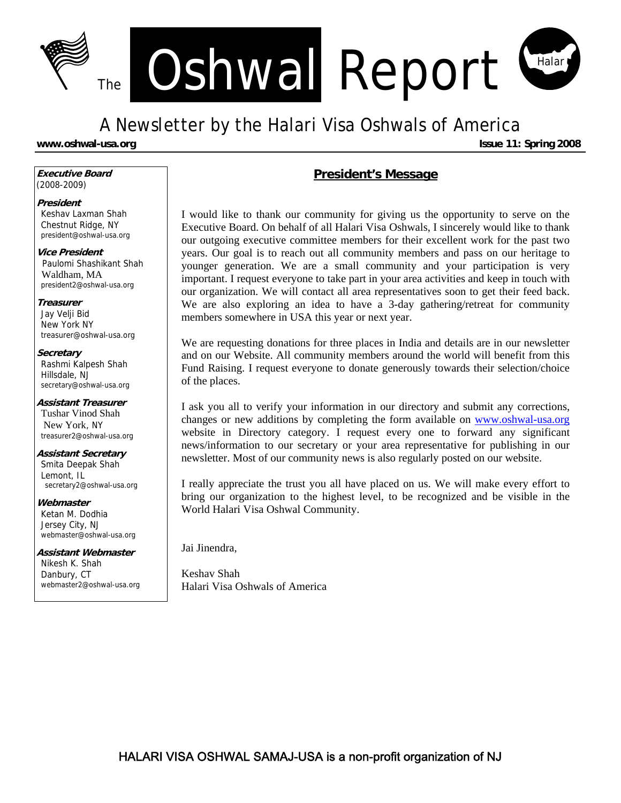

# A Newsletter by the Halari Visa Oshwals of America

**www.oshwal-usa.org Issue 11: Spring 2008 Issue 11: Spring 2008** 

**Executive Board**  (2008-2009)

#### **President**

Keshav Laxman Shah Chestnut Ridge, NY president@oshwal-usa.org

**Vice President**  Paulomi Shashikant Shah Waldham, MA president2@oshwal-usa.org

#### **Treasurer**

Jay Velji Bid New York NY treasurer@oshwal-usa.org

#### **Secretary**

Rashmi Kalpesh Shah Hillsdale, NJ secretary@oshwal-usa.org

### **Assistant Treasurer**

Tushar Vinod Shah New York, NY treasurer2@oshwal-usa.org

#### **Assistant Secretary**

Smita Deepak Shah Lemont, IL secretary2@oshwal-usa.org

### **Webmaster**

Ketan M. Dodhia Jersey City, NJ webmaster@oshwal-usa.org

#### **Assistant Webmaster**  Nikesh K. Shah Danbury, CT webmaster2@oshwal-usa.org

### **President's Message**

I would like to thank our community for giving us the opportunity to serve on the Executive Board. On behalf of all Halari Visa Oshwals, I sincerely would like to thank our outgoing executive committee members for their excellent work for the past two years. Our goal is to reach out all community members and pass on our heritage to younger generation. We are a small community and your participation is very important. I request everyone to take part in your area activities and keep in touch with our organization. We will contact all area representatives soon to get their feed back. We are also exploring an idea to have a 3-day gathering/retreat for community members somewhere in USA this year or next year.

We are requesting donations for three places in India and details are in our newsletter and on our Website. All community members around the world will benefit from this Fund Raising. I request everyone to donate generously towards their selection/choice of the places.

I ask you all to verify your information in our directory and submit any corrections, changes or new additions by completing the form available on [www.oshwal-usa.org](http://www.oshwal-usa.org/) website in Directory category. I request every one to forward any significant news/information to our secretary or your area representative for publishing in our newsletter. Most of our community news is also regularly posted on our website.

I really appreciate the trust you all have placed on us. We will make every effort to bring our organization to the highest level, to be recognized and be visible in the World Halari Visa Oshwal Community.

Jai Jinendra,

Keshav Shah Halari Visa Oshwals of America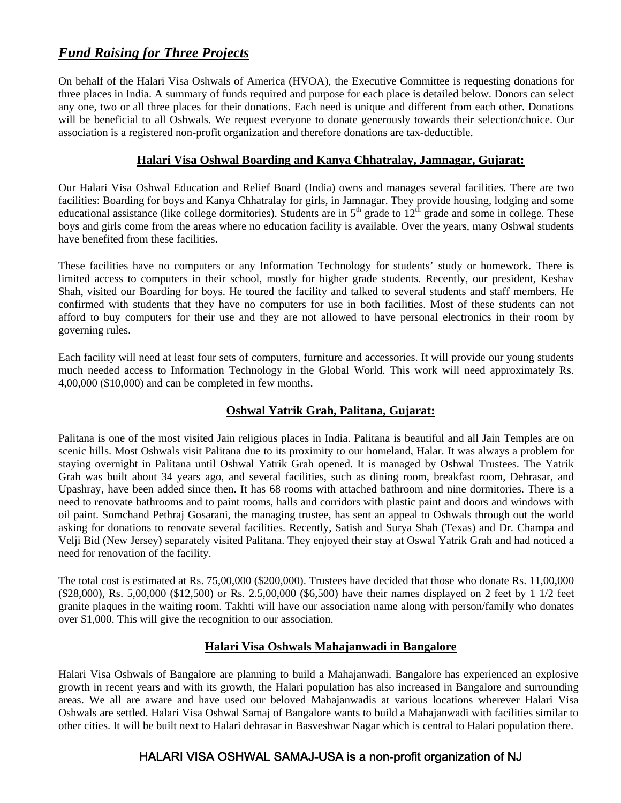## *[Fund Raising for Three Projects](http://www.oshwal-usa.org/2008/05/03/fund-raising)*

On behalf of the Halari Visa Oshwals of America (HVOA), the Executive Committee is requesting donations for three places in India. A summary of funds required and purpose for each place is detailed below. Donors can select any one, two or all three places for their donations. Each need is unique and different from each other. Donations will be beneficial to all Oshwals. We request everyone to donate generously towards their selection/choice. Our association is a registered non-profit organization and therefore donations are tax-deductible.

#### **Halari Visa Oshwal Boarding and Kanya Chhatralay, Jamnagar, Gujarat:**

Our Halari Visa Oshwal Education and Relief Board (India) owns and manages several facilities. There are two facilities: Boarding for boys and Kanya Chhatralay for girls, in Jamnagar. They provide housing, lodging and some educational assistance (like college dormitories). Students are in  $5<sup>th</sup>$  grade to  $12<sup>th</sup>$  grade and some in college. These boys and girls come from the areas where no education facility is available. Over the years, many Oshwal students have benefited from these facilities.

These facilities have no computers or any Information Technology for students' study or homework. There is limited access to computers in their school, mostly for higher grade students. Recently, our president, Keshav Shah, visited our Boarding for boys. He toured the facility and talked to several students and staff members. He confirmed with students that they have no computers for use in both facilities. Most of these students can not afford to buy computers for their use and they are not allowed to have personal electronics in their room by governing rules.

Each facility will need at least four sets of computers, furniture and accessories. It will provide our young students much needed access to Information Technology in the Global World. This work will need approximately Rs. 4,00,000 (\$10,000) and can be completed in few months.

### **Oshwal Yatrik Grah, Palitana, Gujarat:**

Palitana is one of the most visited Jain religious places in India. Palitana is beautiful and all Jain Temples are on scenic hills. Most Oshwals visit Palitana due to its proximity to our homeland, Halar. It was always a problem for staying overnight in Palitana until Oshwal Yatrik Grah opened. It is managed by Oshwal Trustees. The Yatrik Grah was built about 34 years ago, and several facilities, such as dining room, breakfast room, Dehrasar, and Upashray, have been added since then. It has 68 rooms with attached bathroom and nine dormitories. There is a need to renovate bathrooms and to paint rooms, halls and corridors with plastic paint and doors and windows with oil paint. Somchand Pethraj Gosarani, the managing trustee, has sent an appeal to Oshwals through out the world asking for donations to renovate several facilities. Recently, Satish and Surya Shah (Texas) and Dr. Champa and Velji Bid (New Jersey) separately visited Palitana. They enjoyed their stay at Oswal Yatrik Grah and had noticed a need for renovation of the facility.

The total cost is estimated at Rs. 75,00,000 (\$200,000). Trustees have decided that those who donate Rs. 11,00,000 (\$28,000), Rs. 5,00,000 (\$12,500) or Rs. 2.5,00,000 (\$6,500) have their names displayed on 2 feet by 1 1/2 feet granite plaques in the waiting room. Takhti will have our association name along with person/family who donates over \$1,000. This will give the recognition to our association.

### **[Halari Visa Oshwals Mahajanwadi in Bangalore](http://www.oshwal-usa.org/2007/11/21/bangalore-halari-visa-oshwal-plans-to-build-a-mahajan-wadi)**

Halari Visa Oshwals of Bangalore are planning to build a Mahajanwadi. Bangalore has experienced an explosive growth in recent years and with its growth, the Halari population has also increased in Bangalore and surrounding areas. We all are aware and have used our beloved Mahajanwadis at various locations wherever Halari Visa Oshwals are settled. Halari Visa Oshwal Samaj of Bangalore wants to build a Mahajanwadi with facilities similar to other cities. It will be built next to Halari dehrasar in Basveshwar Nagar which is central to Halari population there.

### HALARI VISA OSHWAL SAMAJ-USA is a non-profit organization of NJ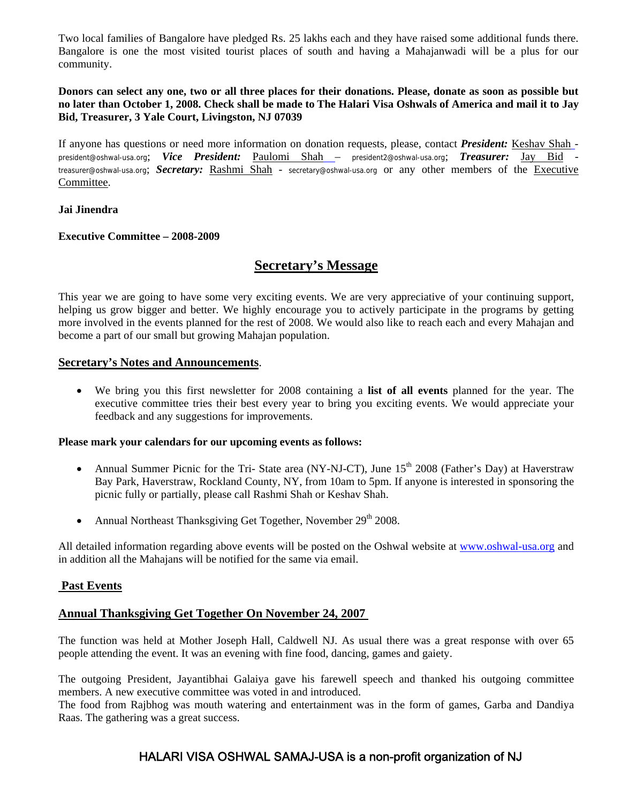Two local families of Bangalore have pledged Rs. 25 lakhs each and they have raised some additional funds there. Bangalore is one the most visited tourist places of south and having a Mahajanwadi will be a plus for our community.

#### **Donors can select any one, two or all three places for their donations. Please, donate as soon as possible but no later than October 1, 2008. Check shall be made to The Halari Visa Oshwals of America and mail it to Jay Bid, Treasurer, 3 Yale Court, Livingston, NJ 07039**

If anyone has questions or need more information on donation requests, please, contact *President:* [Keshav Shah](mailto:president@oshwal-usa.org) president@oshwal-usa.org; *Vice President:* [Paulomi Shah](mailto:vicepresident@oshwal-usa.org) – president2@oshwal-usa.org; *Treasurer:* [Jay Bid](mailto:treasurer@oshwal-usa.org)  treasurer@oshwal-usa.org; *Secretary:* [Rashmi Shah](mailto:secretary@oshwal-usa.org) - secretary@oshwal-usa.org or any other members of the [Executive](http://www.oshwal-usa.org/contact-us/executive-board)  [Committee](http://www.oshwal-usa.org/contact-us/executive-board).

#### **Jai Jinendra**

#### **Executive Committee – 2008-2009**

### **Secretary's Message**

This year we are going to have some very exciting events. We are very appreciative of your continuing support, helping us grow bigger and better. We highly encourage you to actively participate in the programs by getting more involved in the events planned for the rest of 2008. We would also like to reach each and every Mahajan and become a part of our small but growing Mahajan population.

#### **Secretary's Notes and Announcements**.

• We bring you this first newsletter for 2008 containing a **list of all events** planned for the year. The executive committee tries their best every year to bring you exciting events. We would appreciate your feedback and any suggestions for improvements.

#### **Please mark your calendars for our upcoming events as follows:**

- Annual Summer Picnic for the Tri- State area (NY-NJ-CT), June  $15<sup>th</sup>$  2008 (Father's Day) at Haverstraw Bay Park, Haverstraw, Rockland County, NY, from 10am to 5pm. If anyone is interested in sponsoring the picnic fully or partially, please call Rashmi Shah or Keshav Shah.
- Annual Northeast Thanksgiving Get Together, November  $29<sup>th</sup>$  2008.

All detailed information regarding above events will be posted on the Oshwal website at [www.oshwal-usa.org](http://www.oshwal-usa.org/) and in addition all the Mahajans will be notified for the same via email.

#### **Past Events**

#### **Annual Thanksgiving Get Together On November 24, 2007**

The function was held at Mother Joseph Hall, Caldwell NJ. As usual there was a great response with over 65 people attending the event. It was an evening with fine food, dancing, games and gaiety.

The outgoing President, Jayantibhai Galaiya gave his farewell speech and thanked his outgoing committee members. A new executive committee was voted in and introduced.

The food from Rajbhog was mouth watering and entertainment was in the form of games, Garba and Dandiya Raas. The gathering was a great success.

### HALARI VISA OSHWAL SAMAJ-USA is a non-profit organization of NJ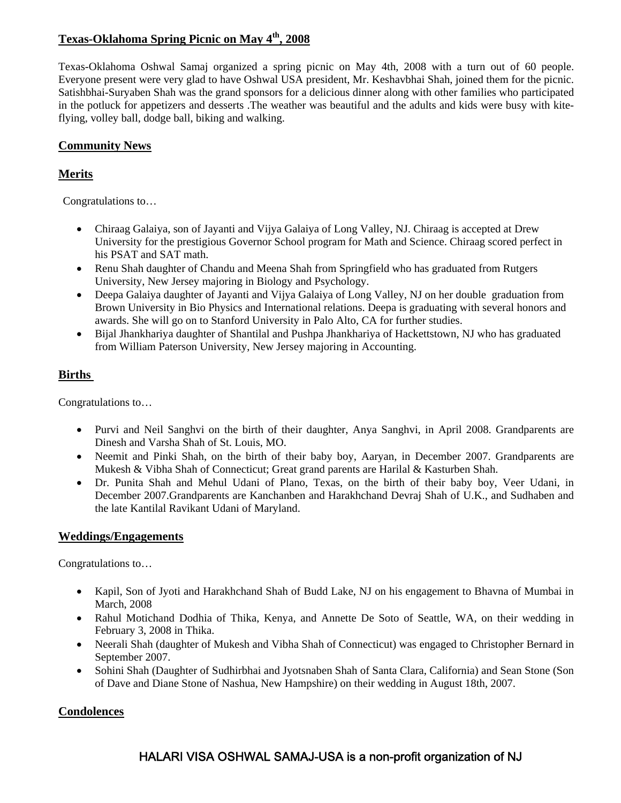### **Texas-Oklahoma Spring Picnic on May 4th, 2008**

Texas-Oklahoma Oshwal Samaj organized a spring picnic on May 4th, 2008 with a turn out of 60 people. Everyone present were very glad to have Oshwal USA president, Mr. Keshavbhai Shah, joined them for the picnic. Satishbhai-Suryaben Shah was the grand sponsors for a delicious dinner along with other families who participated in the potluck for appetizers and desserts .The weather was beautiful and the adults and kids were busy with kiteflying, volley ball, dodge ball, biking and walking.

### **Community News**

### **Merits**

Congratulations to…

- Chiraag Galaiya, son of Jayanti and Vijya Galaiya of Long Valley, NJ. Chiraag is accepted at Drew University for the prestigious Governor School program for Math and Science. Chiraag scored perfect in his PSAT and SAT math.
- Renu Shah daughter of Chandu and Meena Shah from Springfield who has graduated from Rutgers University, New Jersey majoring in Biology and Psychology.
- Deepa Galaiya daughter of Jayanti and Vijya Galaiya of Long Valley, NJ on her double graduation from Brown University in Bio Physics and International relations. Deepa is graduating with several honors and awards. She will go on to Stanford University in Palo Alto, CA for further studies.
- Bijal Jhankhariya daughter of Shantilal and Pushpa Jhankhariya of Hackettstown, NJ who has graduated from William Paterson University, New Jersey majoring in Accounting.

### **Births**

Congratulations to…

- Purvi and Neil Sanghvi on the birth of their daughter, Anya Sanghvi, in April 2008. Grandparents are Dinesh and Varsha Shah of St. Louis, MO.
- Neemit and Pinki Shah, on the birth of their baby boy, Aaryan, in December 2007. Grandparents are Mukesh & Vibha Shah of Connecticut; Great grand parents are Harilal & Kasturben Shah.
- Dr. Punita Shah and Mehul Udani of Plano, Texas, on the birth of their baby boy, Veer Udani, in December 2007.Grandparents are Kanchanben and Harakhchand Devraj Shah of U.K., and Sudhaben and the late Kantilal Ravikant Udani of Maryland.

#### **Weddings/Engagements**

Congratulations to…

- Kapil, Son of Jyoti and Harakhchand Shah of Budd Lake, NJ on his engagement to Bhavna of Mumbai in March, 2008
- Rahul Motichand Dodhia of Thika, Kenya, and Annette De Soto of Seattle, WA, on their wedding in February 3, 2008 in Thika.
- Neerali Shah (daughter of Mukesh and Vibha Shah of Connecticut) was engaged to Christopher Bernard in September 2007.
- Sohini Shah (Daughter of Sudhirbhai and Jyotsnaben Shah of Santa Clara, California) and Sean Stone (Son of Dave and Diane Stone of Nashua, New Hampshire) on their wedding in August 18th, 2007.

### **Condolences**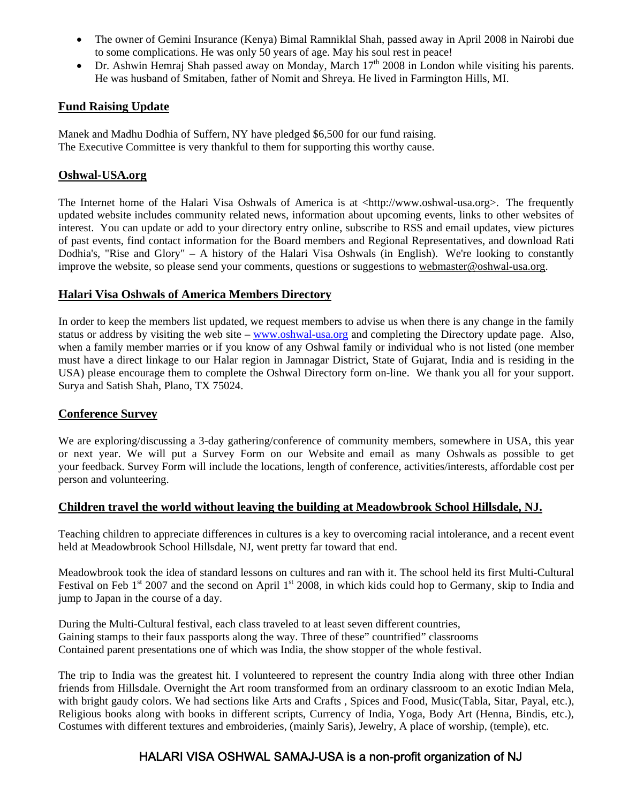- The owner of Gemini Insurance (Kenya) Bimal Ramniklal Shah, passed away in April 2008 in Nairobi due to some complications. He was only 50 years of age. May his soul rest in peace!
- Dr. Ashwin Hemraj Shah passed away on Monday, March  $17<sup>th</sup>$  2008 in London while visiting his parents. He was husband of Smitaben, father of Nomit and Shreya. He lived in Farmington Hills, MI.

### **Fund Raising Update**

Manek and Madhu Dodhia of Suffern, NY have pledged \$6,500 for our fund raising. The Executive Committee is very thankful to them for supporting this worthy cause.

### **Oshwal-USA.org**

The Internet home of the Halari Visa Oshwals of America is at <http://www.oshwal[-usa.org](http://usa.org/)>. The frequently updated website includes community related news, information about upcoming events, links to other websites of interest. You can update or add to your directory entry online, subscribe to RSS and email updates, view pictures of past events, find contact information for the Board members and Regional Representatives, and download Rati Dodhia's, "Rise and Glory" – A history of the Halari Visa Oshwals (in English). We're looking to constantly improve the website, so please send your comments, questions or suggestions to [webmaster@oshwal-usa.org.](mailto:webmaster@oshwal-usa.org)

#### **Halari Visa Oshwals of America Members Directory**

In order to keep the members list updated, we request members to advise us when there is any change in the family status or address by visiting the web site – [www.oshwal-usa.org](http://www.oshwal-usa.org/) and completing the Directory update page. Also, when a family member marries or if you know of any Oshwal family or individual who is not listed (one member must have a direct linkage to our Halar region in Jamnagar District, State of Gujarat, India and is residing in the USA) please encourage them to complete the Oshwal Directory form on-line. We thank you all for your support. Surya and Satish Shah, Plano, TX 75024.

#### **Conference Survey**

We are exploring/discussing a 3-day gathering/conference of community members, somewhere in USA, this year or next year. We will put a Survey Form on our Website and email as many Oshwals as possible to get your feedback. Survey Form will include the locations, length of conference, activities/interests, affordable cost per person and volunteering.

#### **Children travel the world without leaving the building at Meadowbrook School Hillsdale, NJ.**

Teaching children to appreciate differences in cultures is a key to overcoming racial intolerance, and a recent event held at Meadowbrook School Hillsdale, NJ, went pretty far toward that end.

Meadowbrook took the idea of standard lessons on cultures and ran with it. The school held its first Multi-Cultural Festival on Feb  $1<sup>st</sup>$  2007 and the second on April  $1<sup>st</sup>$  2008, in which kids could hop to Germany, skip to India and jump to Japan in the course of a day.

During the Multi-Cultural festival, each class traveled to at least seven different countries, Gaining stamps to their faux passports along the way. Three of these" countrified" classrooms Contained parent presentations one of which was India, the show stopper of the whole festival.

The trip to India was the greatest hit. I volunteered to represent the country India along with three other Indian friends from Hillsdale. Overnight the Art room transformed from an ordinary classroom to an exotic Indian Mela, with bright gaudy colors. We had sections like Arts and Crafts, Spices and Food, Music(Tabla, Sitar, Payal, etc.), Religious books along with books in different scripts, Currency of India, Yoga, Body Art (Henna, Bindis, etc.), Costumes with different textures and embroideries, (mainly Saris), Jewelry, A place of worship, (temple), etc.

### HALARI VISA OSHWAL SAMAJ-USA is a non-profit organization of NJ